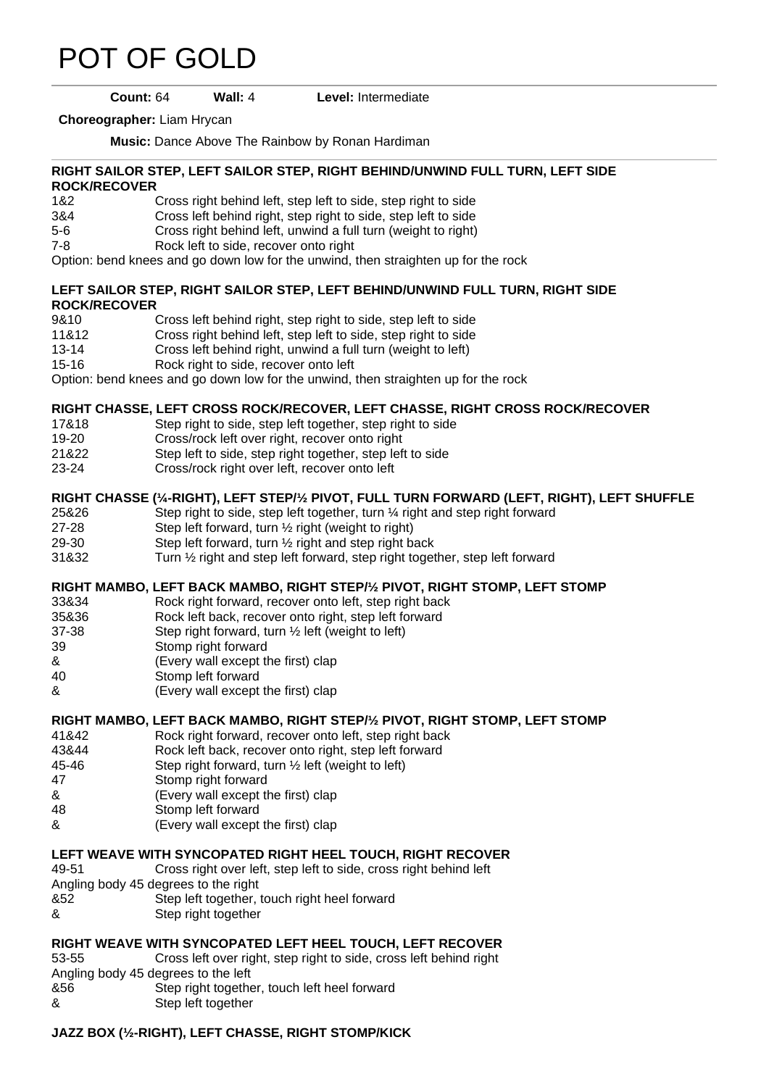# [POT OF GOLD](https://www.copperknob.co.uk/stepsheets/pot-of-gold-ID34776.aspx)

#### **Count:** 64 **Wall:** 4 **Level:** Intermediate

**Choreographer:** Liam Hrycan

**Music:** Dance Above The Rainbow by Ronan Hardiman

#### **RIGHT SAILOR STEP, LEFT SAILOR STEP, RIGHT BEHIND/UNWIND FULL TURN, LEFT SIDE ROCK/RECOVER**

- 1&2 Cross right behind left, step left to side, step right to side
- 3&4 Cross left behind right, step right to side, step left to side
- 5-6 Cross right behind left, unwind a full turn (weight to right)
- 7-8 Rock left to side, recover onto right

Option: bend knees and go down low for the unwind, then straighten up for the rock

#### **LEFT SAILOR STEP, RIGHT SAILOR STEP, LEFT BEHIND/UNWIND FULL TURN, RIGHT SIDE ROCK/RECOVER**

- 9&10 Cross left behind right, step right to side, step left to side
- 11&12 Cross right behind left, step left to side, step right to side
- 13-14 Cross left behind right, unwind a full turn (weight to left)
- 15-16 Rock right to side, recover onto left

Option: bend knees and go down low for the unwind, then straighten up for the rock

#### **RIGHT CHASSE, LEFT CROSS ROCK/RECOVER, LEFT CHASSE, RIGHT CROSS ROCK/RECOVER**

- 17&18 Step right to side, step left together, step right to side
- 19-20 Cross/rock left over right, recover onto right
- 21&22 Step left to side, step right together, step left to side
- 23-24 Cross/rock right over left, recover onto left

#### **RIGHT CHASSE (¼-RIGHT), LEFT STEP/½ PIVOT, FULL TURN FORWARD (LEFT, RIGHT), LEFT SHUFFLE**

- 25&26 Step right to side, step left together, turn ¼ right and step right forward
- 27-28 Step left forward, turn ½ right (weight to right)
- 29-30 Step left forward, turn ½ right and step right back
- 31&32 Turn ½ right and step left forward, step right together, step left forward

#### **RIGHT MAMBO, LEFT BACK MAMBO, RIGHT STEP/½ PIVOT, RIGHT STOMP, LEFT STOMP**

- 33&34 Rock right forward, recover onto left, step right back
- 35&36 Rock left back, recover onto right, step left forward
- 37-38 Step right forward, turn ½ left (weight to left)
- 39 Stomp right forward
- & (Every wall except the first) clap
- 40 Stomp left forward
- & (Every wall except the first) clap

#### **RIGHT MAMBO, LEFT BACK MAMBO, RIGHT STEP/½ PIVOT, RIGHT STOMP, LEFT STOMP**

- 41&42 Rock right forward, recover onto left, step right back
- 43&44 Rock left back, recover onto right, step left forward
- 45-46 Step right forward, turn ½ left (weight to left)
- 47 Stomp right forward
- & (Every wall except the first) clap
- 48 Stomp left forward
- & (Every wall except the first) clap

## **LEFT WEAVE WITH SYNCOPATED RIGHT HEEL TOUCH, RIGHT RECOVER**

- 49-51 Cross right over left, step left to side, cross right behind left
- Angling body 45 degrees to the right
- &52 Step left together, touch right heel forward
- & Step right together

# **RIGHT WEAVE WITH SYNCOPATED LEFT HEEL TOUCH, LEFT RECOVER**

- 53-55 Cross left over right, step right to side, cross left behind right
- Angling body 45 degrees to the left
- &56 Step right together, touch left heel forward
- & Step left together

## **JAZZ BOX (½-RIGHT), LEFT CHASSE, RIGHT STOMP/KICK**